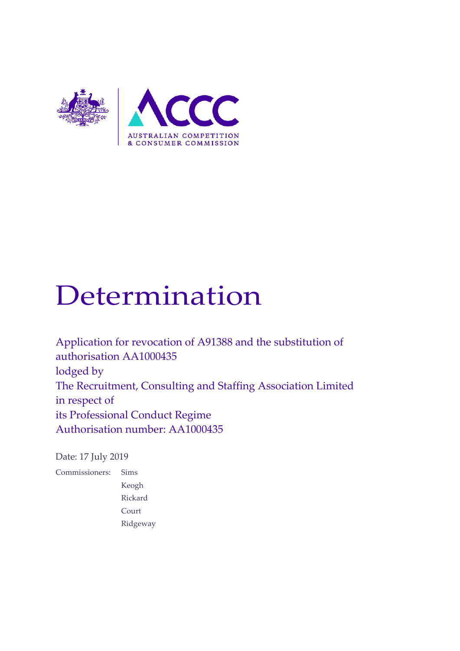

# Determination

Application for revocation of A91388 and the substitution of authorisation AA1000435 lodged by The Recruitment, Consulting and Staffing Association Limited in respect of its Professional Conduct Regime Authorisation number: AA1000435

Date: 17 July 2019

Commissioners: Sims Keogh Rickard Court Ridgeway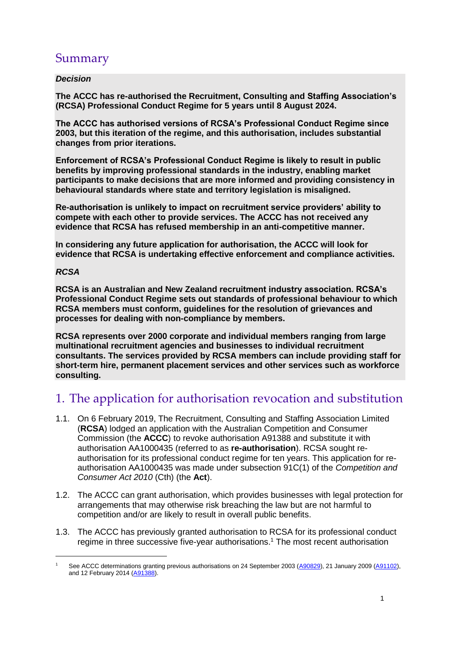# Summary

#### *Decision*

**The ACCC has re-authorised the Recruitment, Consulting and Staffing Association's (RCSA) Professional Conduct Regime for 5 years until 8 August 2024.**

**The ACCC has authorised versions of RCSA's Professional Conduct Regime since 2003, but this iteration of the regime, and this authorisation, includes substantial changes from prior iterations.**

**Enforcement of RCSA's Professional Conduct Regime is likely to result in public benefits by improving professional standards in the industry, enabling market participants to make decisions that are more informed and providing consistency in behavioural standards where state and territory legislation is misaligned.**

**Re-authorisation is unlikely to impact on recruitment service providers' ability to compete with each other to provide services. The ACCC has not received any evidence that RCSA has refused membership in an anti-competitive manner.** 

**In considering any future application for authorisation, the ACCC will look for evidence that RCSA is undertaking effective enforcement and compliance activities.** 

#### *RCSA*

-

**RCSA is an Australian and New Zealand recruitment industry association. RCSA's Professional Conduct Regime sets out standards of professional behaviour to which RCSA members must conform, guidelines for the resolution of grievances and processes for dealing with non-compliance by members.** 

**RCSA represents over 2000 corporate and individual members ranging from large multinational recruitment agencies and businesses to individual recruitment consultants. The services provided by RCSA members can include providing staff for short-term hire, permanent placement services and other services such as workforce consulting.**

# 1. The application for authorisation revocation and substitution

- 1.1. On 6 February 2019, The Recruitment, Consulting and Staffing Association Limited (**RCSA**) lodged an application with the Australian Competition and Consumer Commission (the **ACCC**) to revoke authorisation A91388 and substitute it with authorisation AA1000435 (referred to as **re-authorisation**). RCSA sought reauthorisation for its professional conduct regime for ten years. This application for reauthorisation AA1000435 was made under subsection 91C(1) of the *Competition and Consumer Act 2010* (Cth) (the **Act**).
- 1.2. The ACCC can grant authorisation, which provides businesses with legal protection for arrangements that may otherwise risk breaching the law but are not harmful to competition and/or are likely to result in overall public benefits.
- 1.3. The ACCC has previously granted authorisation to RCSA for its professional conduct regime in three successive five-year authorisations. <sup>1</sup> The most recent authorisation

<sup>1</sup> See ACCC determinations granting previous authorisations on 24 September 2003 [\(A90829\)](https://www.accc.gov.au/public-registers/authorisations-and-notifications-registers/authorisations-register/recruitment-consulting-services-association-authorisation-a90829), 21 January 2009 [\(A91102\)](https://www.accc.gov.au/public-registers/authorisations-and-notifications-registers/authorisations-register/recruitment-consulting-services-association-limited-authorisation-a91102), and 12 February 2014 [\(A91388\)](https://www.accc.gov.au/public-registers/authorisations-and-notifications-registers/authorisations-register/recruitment-consulting-services-association-limited-revocation-and-substitution-a91388).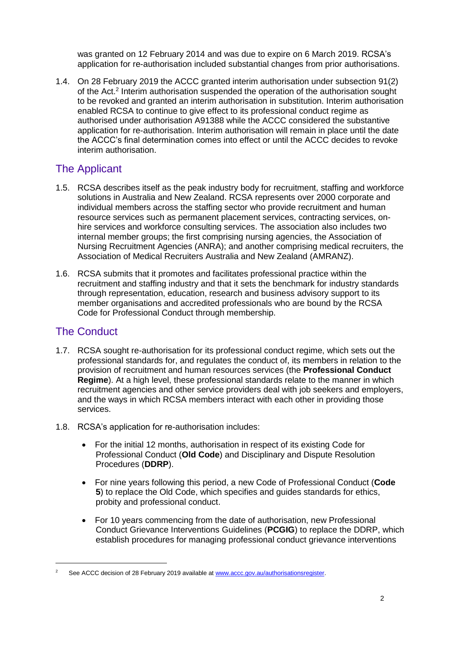was granted on 12 February 2014 and was due to expire on 6 March 2019. RCSA's application for re-authorisation included substantial changes from prior authorisations.

1.4. On 28 February 2019 the ACCC granted interim authorisation under subsection 91(2) of the Act.<sup>2</sup> Interim authorisation suspended the operation of the authorisation sought to be revoked and granted an interim authorisation in substitution. Interim authorisation enabled RCSA to continue to give effect to its professional conduct regime as authorised under authorisation A91388 while the ACCC considered the substantive application for re-authorisation. Interim authorisation will remain in place until the date the ACCC's final determination comes into effect or until the ACCC decides to revoke interim authorisation.

# The Applicant

- 1.5. RCSA describes itself as the peak industry body for recruitment, staffing and workforce solutions in Australia and New Zealand. RCSA represents over 2000 corporate and individual members across the staffing sector who provide recruitment and human resource services such as permanent placement services, contracting services, onhire services and workforce consulting services. The association also includes two internal member groups; the first comprising nursing agencies, the Association of Nursing Recruitment Agencies (ANRA); and another comprising medical recruiters, the Association of Medical Recruiters Australia and New Zealand (AMRANZ).
- 1.6. RCSA submits that it promotes and facilitates professional practice within the recruitment and staffing industry and that it sets the benchmark for industry standards through representation, education, research and business advisory support to its member organisations and accredited professionals who are bound by the RCSA Code for Professional Conduct through membership.

## The Conduct

- 1.7. RCSA sought re-authorisation for its professional conduct regime, which sets out the professional standards for, and regulates the conduct of, its members in relation to the provision of recruitment and human resources services (the **Professional Conduct Regime**). At a high level, these professional standards relate to the manner in which recruitment agencies and other service providers deal with job seekers and employers, and the ways in which RCSA members interact with each other in providing those services.
- 1.8. RCSA's application for re-authorisation includes:
	- For the initial 12 months, authorisation in respect of its existing Code for Professional Conduct (**Old Code**) and Disciplinary and Dispute Resolution Procedures (**DDRP**).
	- For nine years following this period, a new Code of Professional Conduct (**Code 5**) to replace the Old Code, which specifies and guides standards for ethics, probity and professional conduct.
	- For 10 years commencing from the date of authorisation, new Professional Conduct Grievance Interventions Guidelines (**PCGIG**) to replace the DDRP, which establish procedures for managing professional conduct grievance interventions

<sup>&</sup>lt;sup>2</sup> See ACCC decision of 28 February 2019 available at [www.accc.gov.au/authorisationsregister.](https://www.accc.gov.au/system/files/public-registers/documents/AA1000435%20-%20Revocation%20and%20Substitution%20of%20A91388%20-%20Recruitment%2C%20Consulting%20and%20Staffing%20Association%20Limited%20-%20Interim%20Authorisation%20Decision%20-%2028.02.19%20-%20PR.pdf)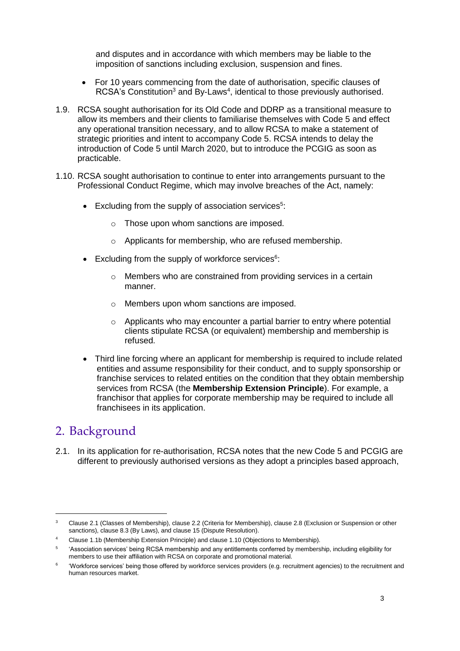and disputes and in accordance with which members may be liable to the imposition of sanctions including exclusion, suspension and fines.

- For 10 years commencing from the date of authorisation, specific clauses of RCSA's Constitution<sup>3</sup> and By-Laws<sup>4</sup>, identical to those previously authorised.
- 1.9. RCSA sought authorisation for its Old Code and DDRP as a transitional measure to allow its members and their clients to familiarise themselves with Code 5 and effect any operational transition necessary, and to allow RCSA to make a statement of strategic priorities and intent to accompany Code 5. RCSA intends to delay the introduction of Code 5 until March 2020, but to introduce the PCGIG as soon as practicable.
- 1.10. RCSA sought authorisation to continue to enter into arrangements pursuant to the Professional Conduct Regime, which may involve breaches of the Act, namely:
	- Excluding from the supply of association services<sup>5</sup>:
		- o Those upon whom sanctions are imposed.
		- o Applicants for membership, who are refused membership.
	- $\bullet$  Excluding from the supply of workforce services<sup>6</sup>:
		- o Members who are constrained from providing services in a certain manner.
		- o Members upon whom sanctions are imposed.
		- o Applicants who may encounter a partial barrier to entry where potential clients stipulate RCSA (or equivalent) membership and membership is refused.
	- Third line forcing where an applicant for membership is required to include related entities and assume responsibility for their conduct, and to supply sponsorship or franchise services to related entities on the condition that they obtain membership services from RCSA (the **Membership Extension Principle**). For example, a franchisor that applies for corporate membership may be required to include all franchisees in its application.

# 2. Background

-

2.1. In its application for re-authorisation, RCSA notes that the new Code 5 and PCGIG are different to previously authorised versions as they adopt a principles based approach,

<sup>&</sup>lt;sup>3</sup> Clause 2.1 (Classes of Membership), clause 2.2 (Criteria for Membership), clause 2.8 (Exclusion or Suspension or other sanctions), clause 8.3 (By Laws), and clause 15 (Dispute Resolution).

<sup>4</sup> Clause 1.1b (Membership Extension Principle) and clause 1.10 (Objections to Membership).

<sup>5</sup> 'Association services' being RCSA membership and any entitlements conferred by membership, including eligibility for members to use their affiliation with RCSA on corporate and promotional material.

<sup>6</sup> 'Workforce services' being those offered by workforce services providers (e.g. recruitment agencies) to the recruitment and human resources market.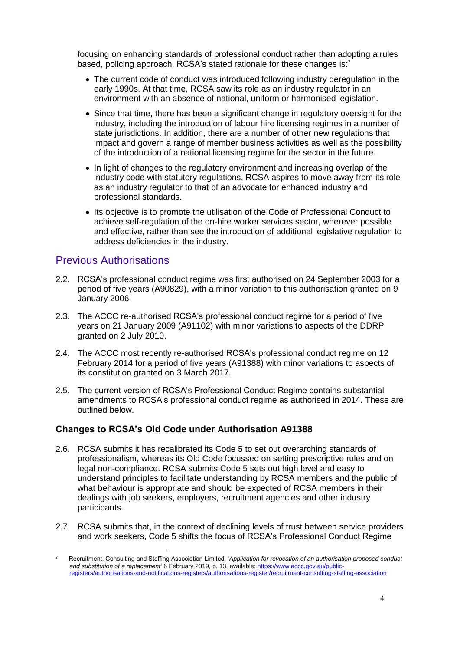focusing on enhancing standards of professional conduct rather than adopting a rules based, policing approach. RCSA's stated rationale for these changes is: $7$ 

- The current code of conduct was introduced following industry deregulation in the early 1990s. At that time, RCSA saw its role as an industry regulator in an environment with an absence of national, uniform or harmonised legislation.
- Since that time, there has been a significant change in regulatory oversight for the industry, including the introduction of labour hire licensing regimes in a number of state jurisdictions. In addition, there are a number of other new regulations that impact and govern a range of member business activities as well as the possibility of the introduction of a national licensing regime for the sector in the future.
- In light of changes to the regulatory environment and increasing overlap of the industry code with statutory regulations, RCSA aspires to move away from its role as an industry regulator to that of an advocate for enhanced industry and professional standards.
- Its objective is to promote the utilisation of the Code of Professional Conduct to achieve self-regulation of the on-hire worker services sector, wherever possible and effective, rather than see the introduction of additional legislative regulation to address deficiencies in the industry.

#### Previous Authorisations

-

- 2.2. RCSA's professional conduct regime was first authorised on 24 September 2003 for a period of five years (A90829), with a minor variation to this authorisation granted on 9 January 2006.
- 2.3. The ACCC re-authorised RCSA's professional conduct regime for a period of five years on 21 January 2009 (A91102) with minor variations to aspects of the DDRP granted on 2 July 2010.
- 2.4. The ACCC most recently re-authorised RCSA's professional conduct regime on 12 February 2014 for a period of five years (A91388) with minor variations to aspects of its constitution granted on 3 March 2017.
- 2.5. The current version of RCSA's Professional Conduct Regime contains substantial amendments to RCSA's professional conduct regime as authorised in 2014. These are outlined below.

#### **Changes to RCSA's Old Code under Authorisation A91388**

- 2.6. RCSA submits it has recalibrated its Code 5 to set out overarching standards of professionalism, whereas its Old Code focussed on setting prescriptive rules and on legal non-compliance. RCSA submits Code 5 sets out high level and easy to understand principles to facilitate understanding by RCSA members and the public of what behaviour is appropriate and should be expected of RCSA members in their dealings with job seekers, employers, recruitment agencies and other industry participants.
- 2.7. RCSA submits that, in the context of declining levels of trust between service providers and work seekers, Code 5 shifts the focus of RCSA's Professional Conduct Regime

<sup>7</sup> Recruitment, Consulting and Staffing Association Limited, '*Application for revocation of an authorisation proposed conduct and substitution of a replacement'* 6 February 2019, p. 13, available: [https://www.accc.gov.au/public](https://www.accc.gov.au/public-registers/authorisations-and-notifications-registers/authorisations-register/recruitment-consulting-staffing-association)[registers/authorisations-and-notifications-registers/authorisations-register/recruitment-consulting-staffing-association](https://www.accc.gov.au/public-registers/authorisations-and-notifications-registers/authorisations-register/recruitment-consulting-staffing-association)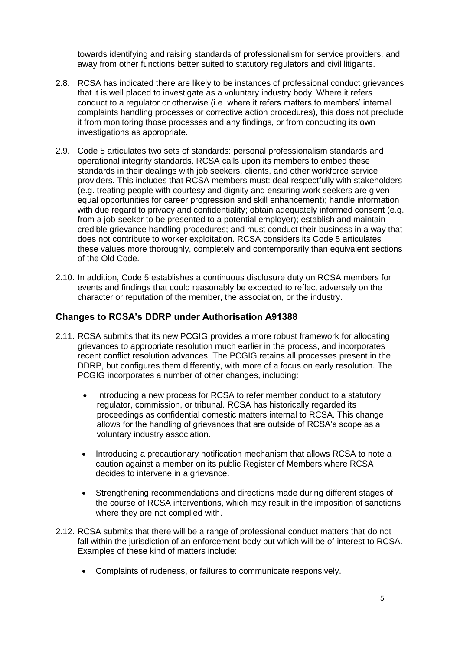towards identifying and raising standards of professionalism for service providers, and away from other functions better suited to statutory regulators and civil litigants.

- 2.8. RCSA has indicated there are likely to be instances of professional conduct grievances that it is well placed to investigate as a voluntary industry body. Where it refers conduct to a regulator or otherwise (i.e. where it refers matters to members' internal complaints handling processes or corrective action procedures), this does not preclude it from monitoring those processes and any findings, or from conducting its own investigations as appropriate.
- 2.9. Code 5 articulates two sets of standards: personal professionalism standards and operational integrity standards. RCSA calls upon its members to embed these standards in their dealings with job seekers, clients, and other workforce service providers. This includes that RCSA members must: deal respectfully with stakeholders (e.g. treating people with courtesy and dignity and ensuring work seekers are given equal opportunities for career progression and skill enhancement); handle information with due regard to privacy and confidentiality; obtain adequately informed consent (e.g. from a job-seeker to be presented to a potential employer); establish and maintain credible grievance handling procedures; and must conduct their business in a way that does not contribute to worker exploitation. RCSA considers its Code 5 articulates these values more thoroughly, completely and contemporarily than equivalent sections of the Old Code.
- 2.10. In addition, Code 5 establishes a continuous disclosure duty on RCSA members for events and findings that could reasonably be expected to reflect adversely on the character or reputation of the member, the association, or the industry.

#### **Changes to RCSA's DDRP under Authorisation A91388**

- 2.11. RCSA submits that its new PCGIG provides a more robust framework for allocating grievances to appropriate resolution much earlier in the process, and incorporates recent conflict resolution advances. The PCGIG retains all processes present in the DDRP, but configures them differently, with more of a focus on early resolution. The PCGIG incorporates a number of other changes, including:
	- Introducing a new process for RCSA to refer member conduct to a statutory regulator, commission, or tribunal. RCSA has historically regarded its proceedings as confidential domestic matters internal to RCSA. This change allows for the handling of grievances that are outside of RCSA's scope as a voluntary industry association.
	- Introducing a precautionary notification mechanism that allows RCSA to note a caution against a member on its public Register of Members where RCSA decides to intervene in a grievance.
	- Strengthening recommendations and directions made during different stages of the course of RCSA interventions, which may result in the imposition of sanctions where they are not complied with.
- 2.12. RCSA submits that there will be a range of professional conduct matters that do not fall within the jurisdiction of an enforcement body but which will be of interest to RCSA. Examples of these kind of matters include:
	- Complaints of rudeness, or failures to communicate responsively.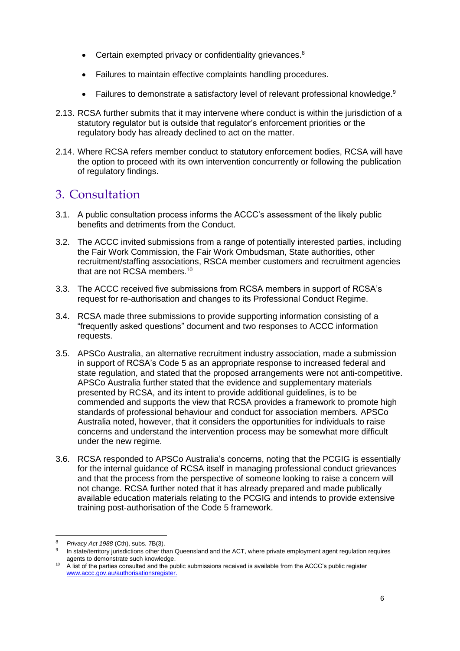- Certain exempted privacy or confidentiality grievances.<sup>8</sup>
- Failures to maintain effective complaints handling procedures.
- Failures to demonstrate a satisfactory level of relevant professional knowledge.<sup>9</sup>
- 2.13. RCSA further submits that it may intervene where conduct is within the jurisdiction of a statutory regulator but is outside that regulator's enforcement priorities or the regulatory body has already declined to act on the matter.
- 2.14. Where RCSA refers member conduct to statutory enforcement bodies, RCSA will have the option to proceed with its own intervention concurrently or following the publication of regulatory findings.

# 3. Consultation

- 3.1. A public consultation process informs the ACCC's assessment of the likely public benefits and detriments from the Conduct.
- 3.2. The ACCC invited submissions from a range of potentially interested parties, including the Fair Work Commission, the Fair Work Ombudsman, State authorities, other recruitment/staffing associations, RSCA member customers and recruitment agencies that are not RCSA members.<sup>10</sup>
- 3.3. The ACCC received five submissions from RCSA members in support of RCSA's request for re-authorisation and changes to its Professional Conduct Regime.
- 3.4. RCSA made three submissions to provide supporting information consisting of a "frequently asked questions" document and two responses to ACCC information requests.
- 3.5. APSCo Australia, an alternative recruitment industry association, made a submission in support of RCSA's Code 5 as an appropriate response to increased federal and state regulation, and stated that the proposed arrangements were not anti-competitive. APSCo Australia further stated that the evidence and supplementary materials presented by RCSA, and its intent to provide additional guidelines, is to be commended and supports the view that RCSA provides a framework to promote high standards of professional behaviour and conduct for association members. APSCo Australia noted, however, that it considers the opportunities for individuals to raise concerns and understand the intervention process may be somewhat more difficult under the new regime.
- 3.6. RCSA responded to APSCo Australia's concerns, noting that the PCGIG is essentially for the internal guidance of RCSA itself in managing professional conduct grievances and that the process from the perspective of someone looking to raise a concern will not change. RCSA further noted that it has already prepared and made publically available education materials relating to the PCGIG and intends to provide extensive training post-authorisation of the Code 5 framework.

<sup>8</sup> *Privacy Act 1988* (Cth), subs. 7B(3).

<sup>9</sup> In state/territory jurisdictions other than Queensland and the ACT, where private employment agent regulation requires agents to demonstrate such knowledge.

<sup>10</sup> A list of the parties consulted and the public submissions received is available from the ACCC's public register [www.accc.gov.au/authorisationsregister.](http://www.accc.gov.au/authorisationsregister)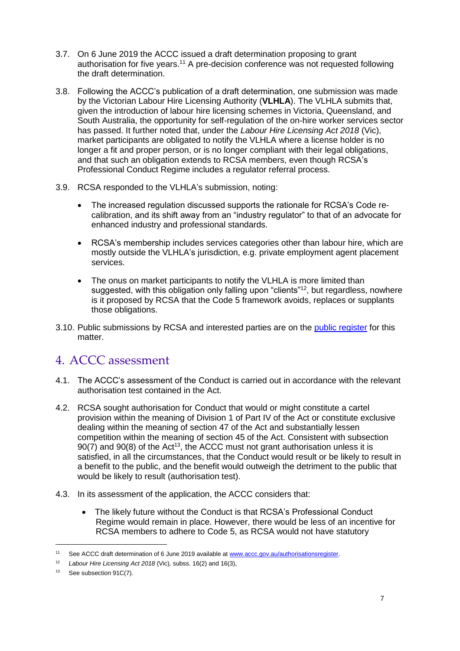- 3.7. On 6 June 2019 the ACCC issued a draft determination proposing to grant authorisation for five years.<sup>11</sup> A pre-decision conference was not requested following the draft determination.
- 3.8. Following the ACCC's publication of a draft determination, one submission was made by the Victorian Labour Hire Licensing Authority (**VLHLA**). The VLHLA submits that, given the introduction of labour hire licensing schemes in Victoria, Queensland, and South Australia, the opportunity for self-regulation of the on-hire worker services sector has passed. It further noted that, under the *Labour Hire Licensing Act 2018* (Vic), market participants are obligated to notify the VLHLA where a license holder is no longer a fit and proper person, or is no longer compliant with their legal obligations, and that such an obligation extends to RCSA members, even though RCSA's Professional Conduct Regime includes a regulator referral process.
- 3.9. RCSA responded to the VLHLA's submission, noting:
	- The increased regulation discussed supports the rationale for RCSA's Code recalibration, and its shift away from an "industry regulator" to that of an advocate for enhanced industry and professional standards.
	- RCSA's membership includes services categories other than labour hire, which are mostly outside the VLHLA's jurisdiction, e.g. private employment agent placement services.
	- The onus on market participants to notify the VLHLA is more limited than suggested, with this obligation only falling upon "clients"<sup>12</sup>, but regardless, nowhere is it proposed by RCSA that the Code 5 framework avoids, replaces or supplants those obligations.
- 3.10. Public submissions by RCSA and interested parties are on the [public register](https://www.accc.gov.au/public-registers/authorisations-and-notifications-registers/authorisations-register/recruitment-consulting-staffing-association) for this matter.

# 4. ACCC assessment

- 4.1. The ACCC's assessment of the Conduct is carried out in accordance with the relevant authorisation test contained in the Act.
- 4.2. RCSA sought authorisation for Conduct that would or might constitute a cartel provision within the meaning of Division 1 of Part IV of the Act or constitute exclusive dealing within the meaning of section 47 of the Act and substantially lessen competition within the meaning of section 45 of the Act. Consistent with subsection  $90(7)$  and  $90(8)$  of the Act<sup>13</sup>, the ACCC must not grant authorisation unless it is satisfied, in all the circumstances, that the Conduct would result or be likely to result in a benefit to the public, and the benefit would outweigh the detriment to the public that would be likely to result (authorisation test).
- 4.3. In its assessment of the application, the ACCC considers that:
	- The likely future without the Conduct is that RCSA's Professional Conduct Regime would remain in place. However, there would be less of an incentive for RCSA members to adhere to Code 5, as RCSA would not have statutory

<sup>11</sup> See ACCC draft determination of 6 June 2019 available at [www.accc.gov.au/authorisationsregister.](https://www.accc.gov.au/system/files/public-registers/documents/AA1000435%20-%20Revocation%20and%20Substitution%20of%20A91388%20-%20Recruitment%2C%20Consulting%20and%20Staffing%20Association%20Limited%20-%20Interim%20Authorisation%20Decision%20-%2028.02.19%20-%20PR.pdf)

<sup>12</sup> *Labour Hire Licensing Act 2018* (Vic)*,* subss. 16(2) and 16(3),

<sup>&</sup>lt;sup>13</sup> See subsection 91C(7).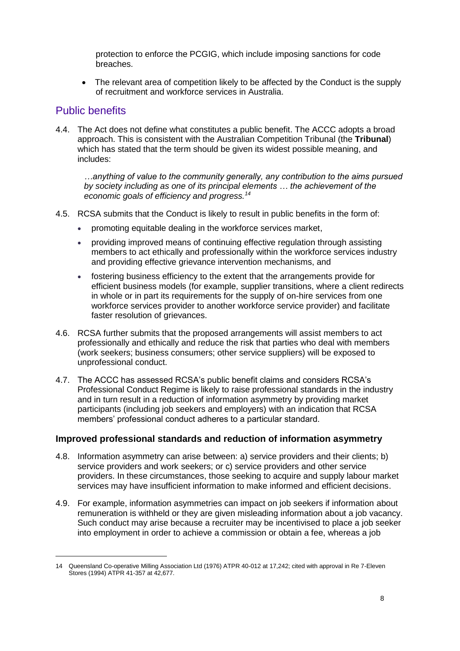protection to enforce the PCGIG, which include imposing sanctions for code breaches.

 The relevant area of competition likely to be affected by the Conduct is the supply of recruitment and workforce services in Australia.

#### Public benefits

-

4.4. The Act does not define what constitutes a public benefit. The ACCC adopts a broad approach. This is consistent with the Australian Competition Tribunal (the **Tribunal**) which has stated that the term should be given its widest possible meaning, and includes:

*…anything of value to the community generally, any contribution to the aims pursued by society including as one of its principal elements … the achievement of the economic goals of efficiency and progress.<sup>14</sup>*

- 4.5. RCSA submits that the Conduct is likely to result in public benefits in the form of:
	- promoting equitable dealing in the workforce services market,
	- providing improved means of continuing effective regulation through assisting members to act ethically and professionally within the workforce services industry and providing effective grievance intervention mechanisms, and
	- fostering business efficiency to the extent that the arrangements provide for efficient business models (for example, supplier transitions, where a client redirects in whole or in part its requirements for the supply of on-hire services from one workforce services provider to another workforce service provider) and facilitate faster resolution of grievances.
- 4.6. RCSA further submits that the proposed arrangements will assist members to act professionally and ethically and reduce the risk that parties who deal with members (work seekers; business consumers; other service suppliers) will be exposed to unprofessional conduct.
- 4.7. The ACCC has assessed RCSA's public benefit claims and considers RCSA's Professional Conduct Regime is likely to raise professional standards in the industry and in turn result in a reduction of information asymmetry by providing market participants (including job seekers and employers) with an indication that RCSA members' professional conduct adheres to a particular standard.

#### **Improved professional standards and reduction of information asymmetry**

- 4.8. Information asymmetry can arise between: a) service providers and their clients; b) service providers and work seekers; or c) service providers and other service providers. In these circumstances, those seeking to acquire and supply labour market services may have insufficient information to make informed and efficient decisions.
- 4.9. For example, information asymmetries can impact on job seekers if information about remuneration is withheld or they are given misleading information about a job vacancy. Such conduct may arise because a recruiter may be incentivised to place a job seeker into employment in order to achieve a commission or obtain a fee, whereas a job

<sup>14</sup> Queensland Co-operative Milling Association Ltd (1976) ATPR 40-012 at 17,242; cited with approval in Re 7-Eleven Stores (1994) ATPR 41-357 at 42,677.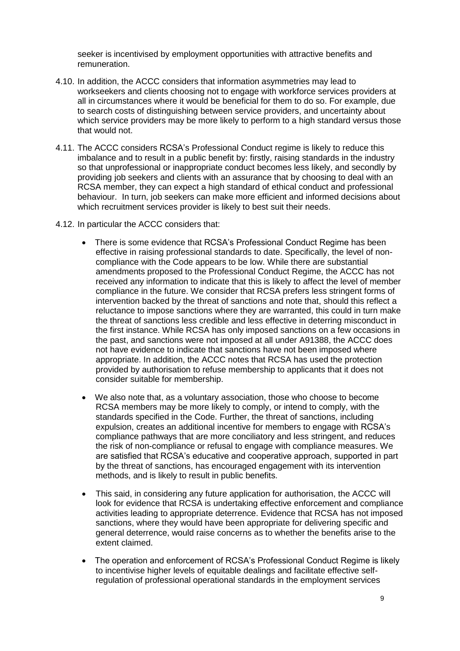seeker is incentivised by employment opportunities with attractive benefits and remuneration.

- 4.10. In addition, the ACCC considers that information asymmetries may lead to workseekers and clients choosing not to engage with workforce services providers at all in circumstances where it would be beneficial for them to do so. For example, due to search costs of distinguishing between service providers, and uncertainty about which service providers may be more likely to perform to a high standard versus those that would not.
- 4.11. The ACCC considers RCSA's Professional Conduct regime is likely to reduce this imbalance and to result in a public benefit by: firstly, raising standards in the industry so that unprofessional or inappropriate conduct becomes less likely, and secondly by providing job seekers and clients with an assurance that by choosing to deal with an RCSA member, they can expect a high standard of ethical conduct and professional behaviour. In turn, job seekers can make more efficient and informed decisions about which recruitment services provider is likely to best suit their needs.
- 4.12. In particular the ACCC considers that:
	- There is some evidence that RCSA's Professional Conduct Regime has been effective in raising professional standards to date. Specifically, the level of noncompliance with the Code appears to be low. While there are substantial amendments proposed to the Professional Conduct Regime, the ACCC has not received any information to indicate that this is likely to affect the level of member compliance in the future. We consider that RCSA prefers less stringent forms of intervention backed by the threat of sanctions and note that, should this reflect a reluctance to impose sanctions where they are warranted, this could in turn make the threat of sanctions less credible and less effective in deterring misconduct in the first instance. While RCSA has only imposed sanctions on a few occasions in the past, and sanctions were not imposed at all under A91388, the ACCC does not have evidence to indicate that sanctions have not been imposed where appropriate. In addition, the ACCC notes that RCSA has used the protection provided by authorisation to refuse membership to applicants that it does not consider suitable for membership.
	- We also note that, as a voluntary association, those who choose to become RCSA members may be more likely to comply, or intend to comply, with the standards specified in the Code. Further, the threat of sanctions, including expulsion, creates an additional incentive for members to engage with RCSA's compliance pathways that are more conciliatory and less stringent, and reduces the risk of non-compliance or refusal to engage with compliance measures. We are satisfied that RCSA's educative and cooperative approach, supported in part by the threat of sanctions, has encouraged engagement with its intervention methods, and is likely to result in public benefits.
	- This said, in considering any future application for authorisation, the ACCC will look for evidence that RCSA is undertaking effective enforcement and compliance activities leading to appropriate deterrence. Evidence that RCSA has not imposed sanctions, where they would have been appropriate for delivering specific and general deterrence, would raise concerns as to whether the benefits arise to the extent claimed.
	- The operation and enforcement of RCSA's Professional Conduct Regime is likely to incentivise higher levels of equitable dealings and facilitate effective selfregulation of professional operational standards in the employment services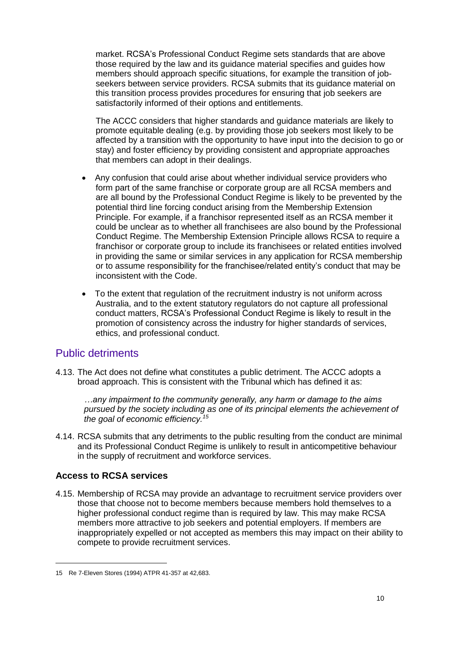market. RCSA's Professional Conduct Regime sets standards that are above those required by the law and its guidance material specifies and guides how members should approach specific situations, for example the transition of jobseekers between service providers. RCSA submits that its guidance material on this transition process provides procedures for ensuring that job seekers are satisfactorily informed of their options and entitlements.

The ACCC considers that higher standards and guidance materials are likely to promote equitable dealing (e.g. by providing those job seekers most likely to be affected by a transition with the opportunity to have input into the decision to go or stay) and foster efficiency by providing consistent and appropriate approaches that members can adopt in their dealings.

- Any confusion that could arise about whether individual service providers who form part of the same franchise or corporate group are all RCSA members and are all bound by the Professional Conduct Regime is likely to be prevented by the potential third line forcing conduct arising from the Membership Extension Principle. For example, if a franchisor represented itself as an RCSA member it could be unclear as to whether all franchisees are also bound by the Professional Conduct Regime. The Membership Extension Principle allows RCSA to require a franchisor or corporate group to include its franchisees or related entities involved in providing the same or similar services in any application for RCSA membership or to assume responsibility for the franchisee/related entity's conduct that may be inconsistent with the Code.
- To the extent that regulation of the recruitment industry is not uniform across Australia, and to the extent statutory regulators do not capture all professional conduct matters, RCSA's Professional Conduct Regime is likely to result in the promotion of consistency across the industry for higher standards of services, ethics, and professional conduct.

## Public detriments

4.13. The Act does not define what constitutes a public detriment. The ACCC adopts a broad approach. This is consistent with the Tribunal which has defined it as:

*…any impairment to the community generally, any harm or damage to the aims pursued by the society including as one of its principal elements the achievement of the goal of economic efficiency.<sup>15</sup>*

4.14. RCSA submits that any detriments to the public resulting from the conduct are minimal and its Professional Conduct Regime is unlikely to result in anticompetitive behaviour in the supply of recruitment and workforce services.

#### **Access to RCSA services**

-

4.15. Membership of RCSA may provide an advantage to recruitment service providers over those that choose not to become members because members hold themselves to a higher professional conduct regime than is required by law. This may make RCSA members more attractive to job seekers and potential employers. If members are inappropriately expelled or not accepted as members this may impact on their ability to compete to provide recruitment services.

<sup>15</sup> Re 7-Eleven Stores (1994) ATPR 41-357 at 42,683.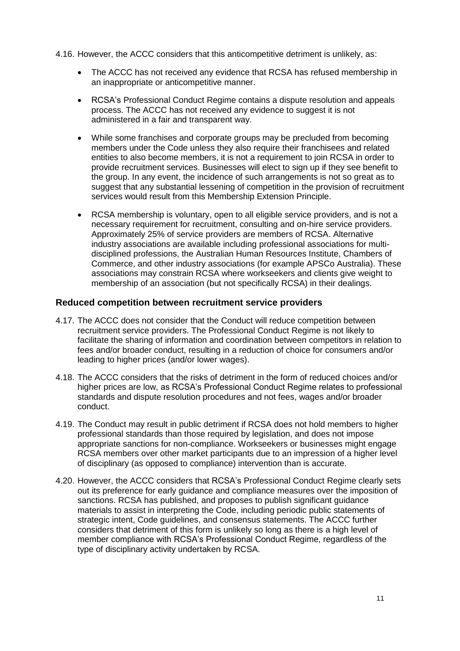- 4.16. However, the ACCC considers that this anticompetitive detriment is unlikely, as:
	- The ACCC has not received any evidence that RCSA has refused membership in an inappropriate or anticompetitive manner.
	- RCSA's Professional Conduct Regime contains a dispute resolution and appeals process. The ACCC has not received any evidence to suggest it is not administered in a fair and transparent way.
	- While some franchises and corporate groups may be precluded from becoming members under the Code unless they also require their franchisees and related entities to also become members, it is not a requirement to join RCSA in order to provide recruitment services. Businesses will elect to sign up if they see benefit to the group. In any event, the incidence of such arrangements is not so great as to suggest that any substantial lessening of competition in the provision of recruitment services would result from this Membership Extension Principle.
	- RCSA membership is voluntary, open to all eligible service providers, and is not a necessary requirement for recruitment, consulting and on-hire service providers. Approximately 25% of service providers are members of RCSA. Alternative industry associations are available including professional associations for multidisciplined professions, the Australian Human Resources Institute, Chambers of Commerce, and other industry associations (for example APSCo Australia). These associations may constrain RCSA where workseekers and clients give weight to membership of an association (but not specifically RCSA) in their dealings.

#### **Reduced competition between recruitment service providers**

- 4.17. The ACCC does not consider that the Conduct will reduce competition between recruitment service providers. The Professional Conduct Regime is not likely to facilitate the sharing of information and coordination between competitors in relation to fees and/or broader conduct, resulting in a reduction of choice for consumers and/or leading to higher prices (and/or lower wages).
- 4.18. The ACCC considers that the risks of detriment in the form of reduced choices and/or higher prices are low, as RCSA's Professional Conduct Regime relates to professional standards and dispute resolution procedures and not fees, wages and/or broader conduct.
- 4.19. The Conduct may result in public detriment if RCSA does not hold members to higher professional standards than those required by legislation, and does not impose appropriate sanctions for non-compliance. Workseekers or businesses might engage RCSA members over other market participants due to an impression of a higher level of disciplinary (as opposed to compliance) intervention than is accurate.
- 4.20. However, the ACCC considers that RCSA's Professional Conduct Regime clearly sets out its preference for early guidance and compliance measures over the imposition of sanctions. RCSA has published, and proposes to publish significant guidance materials to assist in interpreting the Code, including periodic public statements of strategic intent, Code guidelines, and consensus statements. The ACCC further considers that detriment of this form is unlikely so long as there is a high level of member compliance with RCSA's Professional Conduct Regime, regardless of the type of disciplinary activity undertaken by RCSA.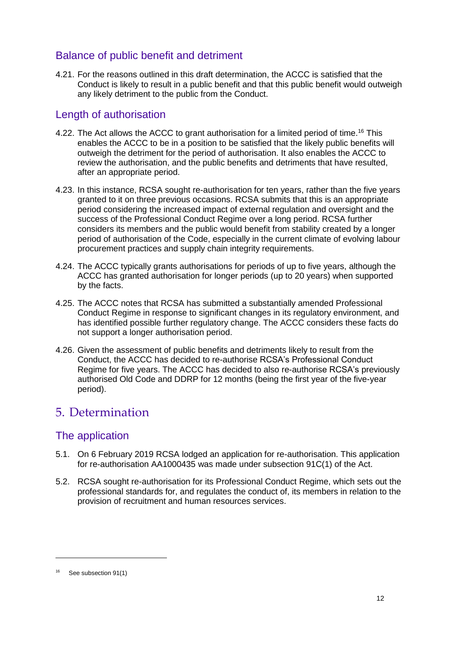# Balance of public benefit and detriment

4.21. For the reasons outlined in this draft determination, the ACCC is satisfied that the Conduct is likely to result in a public benefit and that this public benefit would outweigh any likely detriment to the public from the Conduct.

## Length of authorisation

- 4.22. The Act allows the ACCC to grant authorisation for a limited period of time.<sup>16</sup> This enables the ACCC to be in a position to be satisfied that the likely public benefits will outweigh the detriment for the period of authorisation. It also enables the ACCC to review the authorisation, and the public benefits and detriments that have resulted, after an appropriate period.
- 4.23. In this instance, RCSA sought re-authorisation for ten years, rather than the five years granted to it on three previous occasions. RCSA submits that this is an appropriate period considering the increased impact of external regulation and oversight and the success of the Professional Conduct Regime over a long period. RCSA further considers its members and the public would benefit from stability created by a longer period of authorisation of the Code, especially in the current climate of evolving labour procurement practices and supply chain integrity requirements.
- 4.24. The ACCC typically grants authorisations for periods of up to five years, although the ACCC has granted authorisation for longer periods (up to 20 years) when supported by the facts.
- 4.25. The ACCC notes that RCSA has submitted a substantially amended Professional Conduct Regime in response to significant changes in its regulatory environment, and has identified possible further regulatory change. The ACCC considers these facts do not support a longer authorisation period.
- 4.26. Given the assessment of public benefits and detriments likely to result from the Conduct, the ACCC has decided to re-authorise RCSA's Professional Conduct Regime for five years. The ACCC has decided to also re-authorise RCSA's previously authorised Old Code and DDRP for 12 months (being the first year of the five-year period).

# 5. Determination

# The application

- 5.1. On 6 February 2019 RCSA lodged an application for re-authorisation. This application for re-authorisation AA1000435 was made under subsection 91C(1) of the Act.
- 5.2. RCSA sought re-authorisation for its Professional Conduct Regime, which sets out the professional standards for, and regulates the conduct of, its members in relation to the provision of recruitment and human resources services.

<sup>&</sup>lt;sup>16</sup> See subsection 91(1)